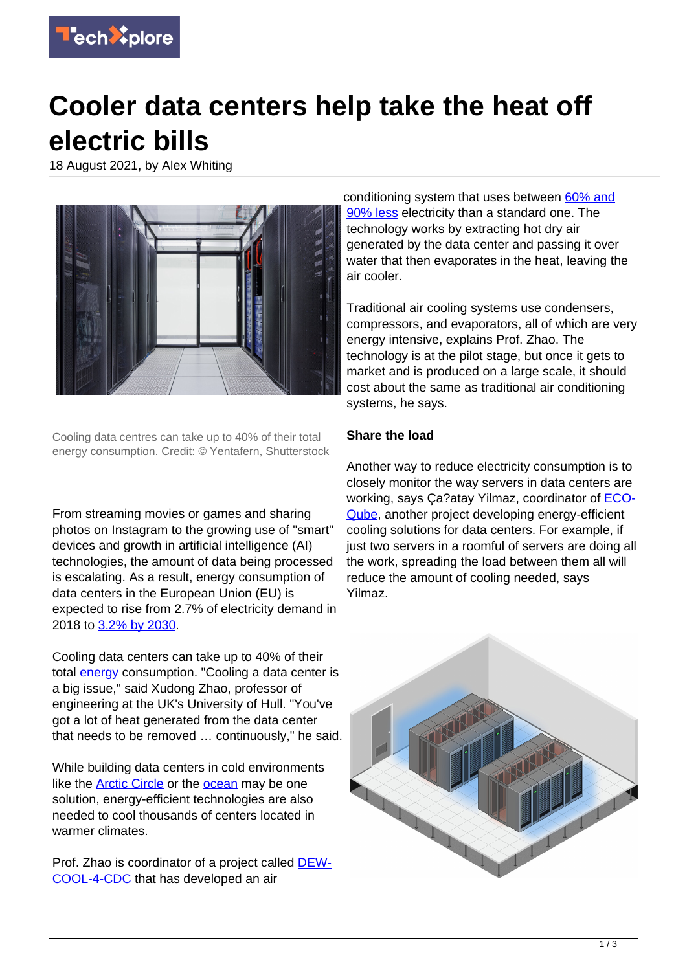

## **Cooler data centers help take the heat off electric bills**

18 August 2021, by Alex Whiting



Cooling data centres can take up to 40% of their total energy consumption. Credit: © Yentafern, Shutterstock

From streaming movies or games and sharing photos on Instagram to the growing use of "smart" devices and growth in artificial intelligence (AI) technologies, the amount of data being processed is escalating. As a result, energy consumption of data centers in the European Union (EU) is expected to rise from 2.7% of electricity demand in 2018 to [3.2% by 2030](https://ec.europa.eu/info/news/green-and-digital-study-shows-technical-and-policy-options-limit-surge-energy-consumption-cloud-and-data-centers-2020-nov-09_en).

Cooling data centers can take up to 40% of their total **energy** consumption. "Cooling a data center is a big issue," said Xudong Zhao, professor of engineering at the UK's University of Hull. "You've got a lot of heat generated from the data center that needs to be removed … continuously," he said.

While building data centers in cold environments like the [Arctic Circle](https://kolos.com/) or the [ocean](https://news.microsoft.com/innovation-stories/project-natick-underwater-datacenter/) may be one solution, energy-efficient technologies are also needed to cool thousands of centers located in warmer climates.

Prof. Zhao is coordinator of a project called [DEW-](https://cordis.europa.eu/project/id/734340)[COOL-4-CDC](https://cordis.europa.eu/project/id/734340) that has developed an air

conditioning system that uses between [60% and](http://dewcool4cdc.uk/) [90% less](http://dewcool4cdc.uk/) electricity than a standard one. The technology works by extracting hot dry air generated by the data center and passing it over water that then evaporates in the heat, leaving the air cooler.

Traditional air cooling systems use condensers, compressors, and evaporators, all of which are very energy intensive, explains Prof. Zhao. The technology is at the pilot stage, but once it gets to market and is produced on a large scale, it should cost about the same as traditional air conditioning systems, he says.

## **Share the load**

Another way to reduce electricity consumption is to closely monitor the way servers in data centers are working, says Ça?atay Yilmaz, coordinator of [ECO-](https://cordis.europa.eu/project/id/956059)[Qube](https://cordis.europa.eu/project/id/956059), another project developing energy-efficient cooling solutions for data centers. For example, if just two servers in a roomful of servers are doing all the work, spreading the load between them all will reduce the amount of cooling needed, says Yilmaz.

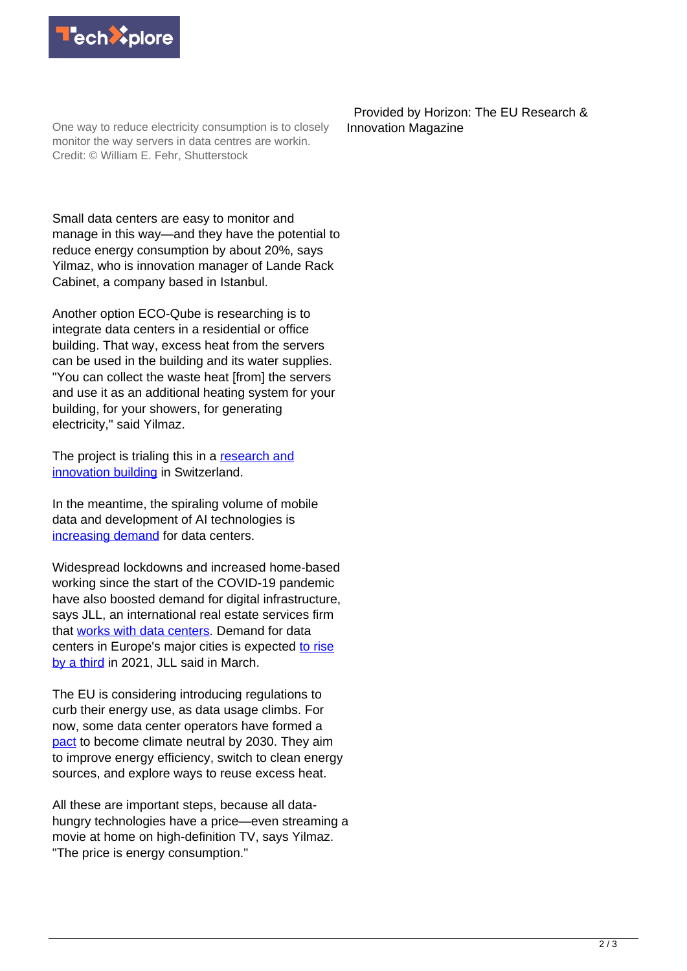

One way to reduce electricity consumption is to closely monitor the way servers in data centres are workin. Credit: © William E. Fehr, Shutterstock

 Provided by Horizon: The EU Research & Innovation Magazine

Small data centers are easy to monitor and manage in this way—and they have the potential to reduce energy consumption by about 20%, says Yilmaz, who is innovation manager of Lande Rack Cabinet, a company based in Istanbul.

Another option ECO-Qube is researching is to integrate data centers in a residential or office building. That way, excess heat from the servers can be used in the building and its water supplies. "You can collect the waste heat [from] the servers and use it as an additional heating system for your building, for your showers, for generating electricity," said Yilmaz.

The project is trialing this in a [research and](https://www.empa.ch/web/nest/) [innovation building](https://www.empa.ch/web/nest/) in Switzerland.

In the meantime, the spiraling volume of mobile data and development of AI technologies is [increasing demand](https://www.statista.com/statistics/551501/worldwide-big-data-business-analytics-revenue/) for data centers.

Widespread lockdowns and increased home-based working since the start of the COVID-19 pandemic have also boosted demand for digital infrastructure, says JLL, an international real estate services firm that [works with data centers.](https://www.jll.co.uk/en/industries/data-centers) Demand for data centers in Europe's major cities is expected [to rise](https://www.jll.co.uk/en/newsroom/demand-for-data-centers-in-major-european-cities-to-rise-by-a-th) [by a third](https://www.jll.co.uk/en/newsroom/demand-for-data-centers-in-major-european-cities-to-rise-by-a-th) in 2021, JLL said in March.

The EU is considering introducing regulations to curb their energy use, as data usage climbs. For now, some data center operators have formed a [pact](https://www.climateneutraldatacentre.net/) to become climate neutral by 2030. They aim to improve energy efficiency, switch to clean energy sources, and explore ways to reuse excess heat.

All these are important steps, because all datahungry technologies have a price—even streaming a movie at home on high-definition TV, says Yilmaz. "The price is energy consumption."